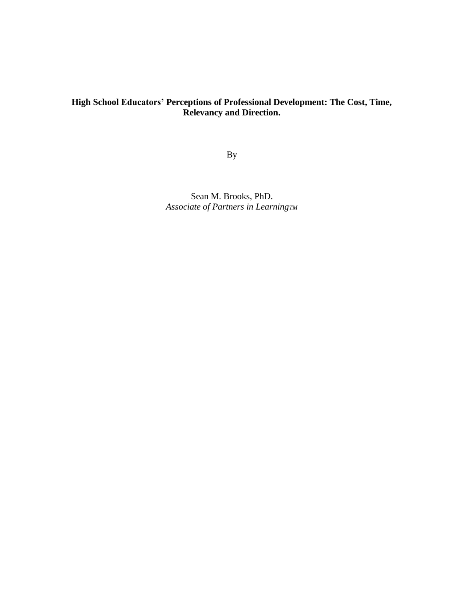## **High School Educators' Perceptions of Professional Development: The Cost, Time, Relevancy and Direction.**

By

Sean M. Brooks, PhD. *Associate of Partners in LearningTM*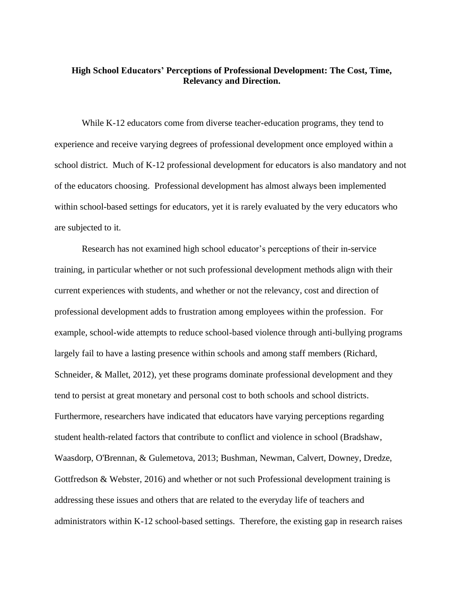## **High School Educators' Perceptions of Professional Development: The Cost, Time, Relevancy and Direction.**

While K-12 educators come from diverse teacher-education programs, they tend to experience and receive varying degrees of professional development once employed within a school district. Much of K-12 professional development for educators is also mandatory and not of the educators choosing. Professional development has almost always been implemented within school-based settings for educators, yet it is rarely evaluated by the very educators who are subjected to it.

Research has not examined high school educator's perceptions of their in-service training, in particular whether or not such professional development methods align with their current experiences with students, and whether or not the relevancy, cost and direction of professional development adds to frustration among employees within the profession. For example, school-wide attempts to reduce school-based violence through anti-bullying programs largely fail to have a lasting presence within schools and among staff members (Richard, Schneider, & Mallet, 2012), yet these programs dominate professional development and they tend to persist at great monetary and personal cost to both schools and school districts. Furthermore, researchers have indicated that educators have varying perceptions regarding student health-related factors that contribute to conflict and violence in school (Bradshaw, Waasdorp, O'Brennan, & Gulemetova, 2013; Bushman, Newman, Calvert, Downey, Dredze, Gottfredson & Webster, 2016) and whether or not such Professional development training is addressing these issues and others that are related to the everyday life of teachers and administrators within K-12 school-based settings. Therefore, the existing gap in research raises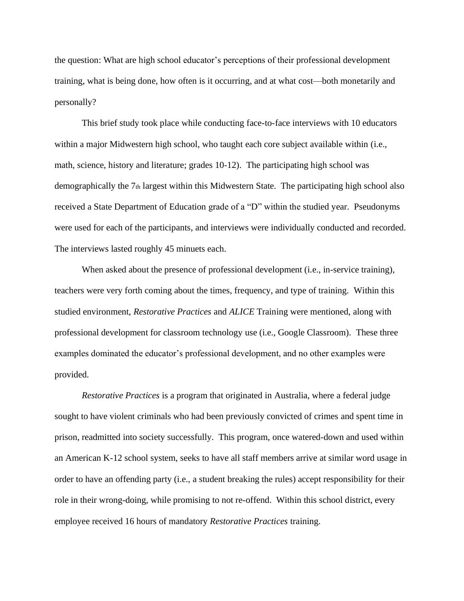the question: What are high school educator's perceptions of their professional development training, what is being done, how often is it occurring, and at what cost—both monetarily and personally?

This brief study took place while conducting face-to-face interviews with 10 educators within a major Midwestern high school, who taught each core subject available within (i.e., math, science, history and literature; grades 10-12). The participating high school was demographically the  $7<sub>th</sub>$  largest within this Midwestern State. The participating high school also received a State Department of Education grade of a "D" within the studied year. Pseudonyms were used for each of the participants, and interviews were individually conducted and recorded. The interviews lasted roughly 45 minuets each.

When asked about the presence of professional development (i.e., in-service training), teachers were very forth coming about the times, frequency, and type of training. Within this studied environment, *Restorative Practices* and *ALICE* Training were mentioned, along with professional development for classroom technology use (i.e., Google Classroom). These three examples dominated the educator's professional development, and no other examples were provided.

*Restorative Practices* is a program that originated in Australia, where a federal judge sought to have violent criminals who had been previously convicted of crimes and spent time in prison, readmitted into society successfully. This program, once watered-down and used within an American K-12 school system, seeks to have all staff members arrive at similar word usage in order to have an offending party (i.e., a student breaking the rules) accept responsibility for their role in their wrong-doing, while promising to not re-offend. Within this school district, every employee received 16 hours of mandatory *Restorative Practices* training.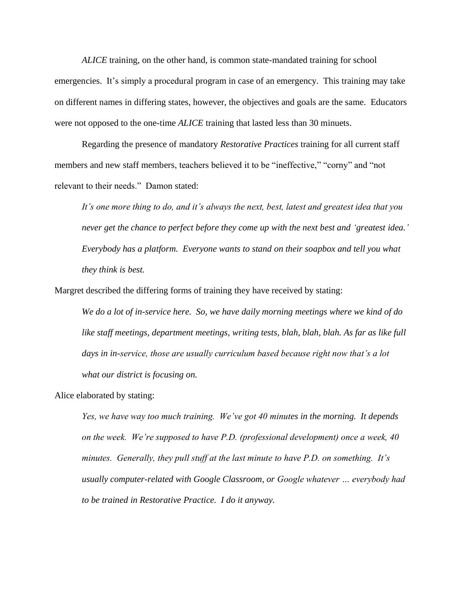*ALICE* training, on the other hand, is common state-mandated training for school emergencies. It's simply a procedural program in case of an emergency. This training may take on different names in differing states, however, the objectives and goals are the same. Educators were not opposed to the one-time *ALICE* training that lasted less than 30 minuets.

Regarding the presence of mandatory *Restorative Practices* training for all current staff members and new staff members, teachers believed it to be "ineffective," "corny" and "not relevant to their needs." Damon stated:

*It's one more thing to do, and it's always the next, best, latest and greatest idea that you never get the chance to perfect before they come up with the next best and 'greatest idea.' Everybody has a platform. Everyone wants to stand on their soapbox and tell you what they think is best.*

Margret described the differing forms of training they have received by stating:

*We do a lot of in-service here. So, we have daily morning meetings where we kind of do like staff meetings, department meetings, writing tests, blah, blah, blah. As far as like full days in in-service, those are usually curriculum based because right now that's a lot what our district is focusing on.*

Alice elaborated by stating:

*Yes, we have way too much training. We've got 40 minutes in the morning. It depends on the week. We're supposed to have P.D. (professional development) once a week, 40 minutes. Generally, they pull stuff at the last minute to have P.D. on something. It's usually computer-related with Google Classroom, or Google whatever … everybody had to be trained in Restorative Practice. I do it anyway.*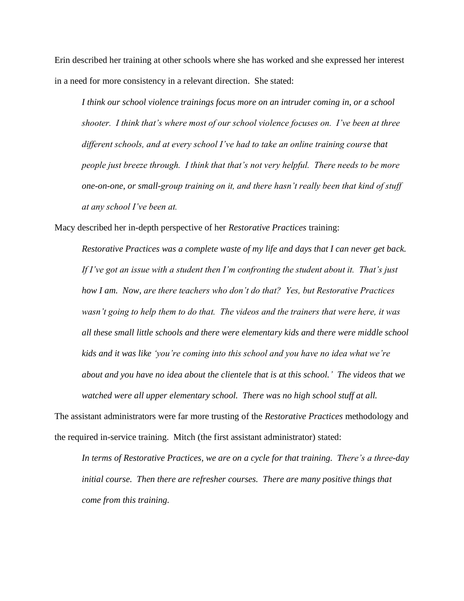Erin described her training at other schools where she has worked and she expressed her interest in a need for more consistency in a relevant direction. She stated:

*I think our school violence trainings focus more on an intruder coming in, or a school shooter. I think that's where most of our school violence focuses on. I've been at three different schools, and at every school I've had to take an online training course that people just breeze through. I think that that's not very helpful. There needs to be more one-on-one, or small-group training on it, and there hasn't really been that kind of stuff at any school I've been at.*

Macy described her in-depth perspective of her *Restorative Practices* training:

*Restorative Practices was a complete waste of my life and days that I can never get back. If I've got an issue with a student then I'm confronting the student about it. That's just how I am. Now, are there teachers who don't do that? Yes, but Restorative Practices wasn't going to help them to do that. The videos and the trainers that were here, it was all these small little schools and there were elementary kids and there were middle school kids and it was like 'you're coming into this school and you have no idea what we're about and you have no idea about the clientele that is at this school.' The videos that we watched were all upper elementary school. There was no high school stuff at all.*

The assistant administrators were far more trusting of the *Restorative Practices* methodology and the required in-service training. Mitch (the first assistant administrator) stated:

*In terms of Restorative Practices, we are on a cycle for that training. There's a three-day initial course. Then there are refresher courses. There are many positive things that come from this training.*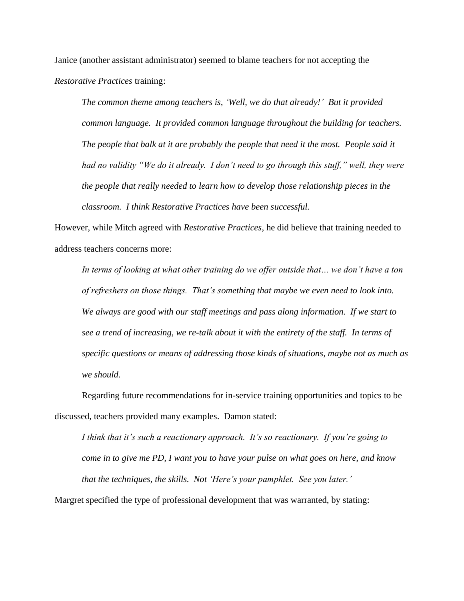Janice (another assistant administrator) seemed to blame teachers for not accepting the *Restorative Practices* training:

*The common theme among teachers is, 'Well, we do that already!' But it provided common language. It provided common language throughout the building for teachers. The people that balk at it are probably the people that need it the most. People said it had no validity "We do it already. I don't need to go through this stuff," well, they were the people that really needed to learn how to develop those relationship pieces in the classroom. I think Restorative Practices have been successful.* 

However, while Mitch agreed with *Restorative Practices*, he did believe that training needed to address teachers concerns more:

*In terms of looking at what other training do we offer outside that… we don't have a ton of refreshers on those things. That's something that maybe we even need to look into. We always are good with our staff meetings and pass along information. If we start to see a trend of increasing, we re-talk about it with the entirety of the staff. In terms of specific questions or means of addressing those kinds of situations, maybe not as much as we should.* 

Regarding future recommendations for in-service training opportunities and topics to be discussed, teachers provided many examples. Damon stated:

*I think that it's such a reactionary approach. It's so reactionary. If you're going to come in to give me PD, I want you to have your pulse on what goes on here, and know that the techniques, the skills. Not 'Here's your pamphlet. See you later.'*

Margret specified the type of professional development that was warranted, by stating: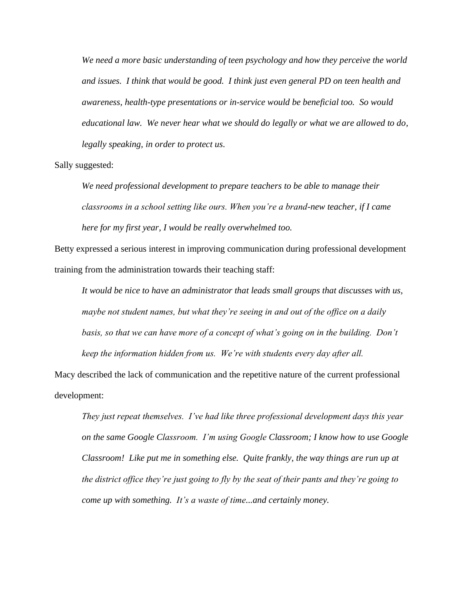*We need a more basic understanding of teen psychology and how they perceive the world and issues. I think that would be good. I think just even general PD on teen health and awareness, health-type presentations or in-service would be beneficial too. So would educational law. We never hear what we should do legally or what we are allowed to do, legally speaking, in order to protect us.*

Sally suggested:

*We need professional development to prepare teachers to be able to manage their classrooms in a school setting like ours. When you're a brand-new teacher, if I came here for my first year, I would be really overwhelmed too.* 

Betty expressed a serious interest in improving communication during professional development training from the administration towards their teaching staff:

*It would be nice to have an administrator that leads small groups that discusses with us, maybe not student names, but what they're seeing in and out of the office on a daily basis, so that we can have more of a concept of what's going on in the building. Don't keep the information hidden from us. We're with students every day after all.*

Macy described the lack of communication and the repetitive nature of the current professional development:

*They just repeat themselves. I've had like three professional development days this year on the same Google Classroom. I'm using Google Classroom; I know how to use Google Classroom! Like put me in something else. Quite frankly, the way things are run up at the district office they're just going to fly by the seat of their pants and they're going to come up with something. It's a waste of time...and certainly money.*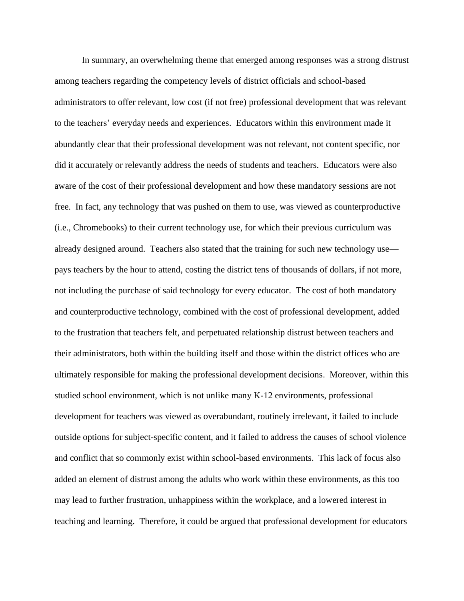In summary, an overwhelming theme that emerged among responses was a strong distrust among teachers regarding the competency levels of district officials and school-based administrators to offer relevant, low cost (if not free) professional development that was relevant to the teachers' everyday needs and experiences. Educators within this environment made it abundantly clear that their professional development was not relevant, not content specific, nor did it accurately or relevantly address the needs of students and teachers. Educators were also aware of the cost of their professional development and how these mandatory sessions are not free. In fact, any technology that was pushed on them to use, was viewed as counterproductive (i.e., Chromebooks) to their current technology use, for which their previous curriculum was already designed around. Teachers also stated that the training for such new technology use pays teachers by the hour to attend, costing the district tens of thousands of dollars, if not more, not including the purchase of said technology for every educator. The cost of both mandatory and counterproductive technology, combined with the cost of professional development, added to the frustration that teachers felt, and perpetuated relationship distrust between teachers and their administrators, both within the building itself and those within the district offices who are ultimately responsible for making the professional development decisions. Moreover, within this studied school environment, which is not unlike many K-12 environments, professional development for teachers was viewed as overabundant, routinely irrelevant, it failed to include outside options for subject-specific content, and it failed to address the causes of school violence and conflict that so commonly exist within school-based environments. This lack of focus also added an element of distrust among the adults who work within these environments, as this too may lead to further frustration, unhappiness within the workplace, and a lowered interest in teaching and learning. Therefore, it could be argued that professional development for educators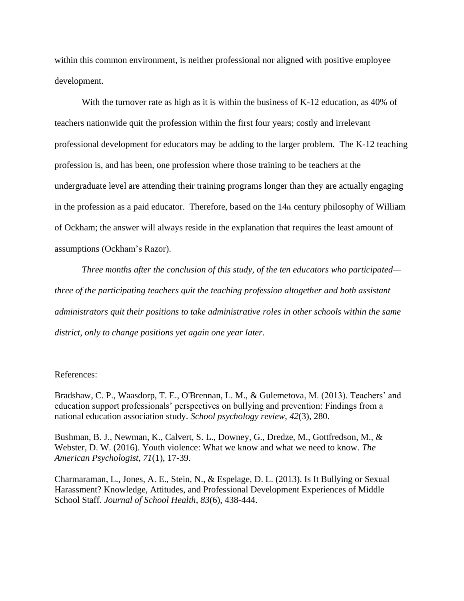within this common environment, is neither professional nor aligned with positive employee development.

With the turnover rate as high as it is within the business of K-12 education, as 40% of teachers nationwide quit the profession within the first four years; costly and irrelevant professional development for educators may be adding to the larger problem. The K-12 teaching profession is, and has been, one profession where those training to be teachers at the undergraduate level are attending their training programs longer than they are actually engaging in the profession as a paid educator. Therefore, based on the 14th century philosophy of William of Ockham; the answer will always reside in the explanation that requires the least amount of assumptions (Ockham's Razor).

*Three months after the conclusion of this study, of the ten educators who participated three of the participating teachers quit the teaching profession altogether and both assistant administrators quit their positions to take administrative roles in other schools within the same district, only to change positions yet again one year later.* 

## References:

Bradshaw, C. P., Waasdorp, T. E., O'Brennan, L. M., & Gulemetova, M. (2013). Teachers' and education support professionals' perspectives on bullying and prevention: Findings from a national education association study. *School psychology review*, *42*(3), 280.

Bushman, B. J., Newman, K., Calvert, S. L., Downey, G., Dredze, M., Gottfredson, M., & Webster, D. W. (2016). Youth violence: What we know and what we need to know. *The American Psychologist*, *71*(1), 17-39.

Charmaraman, L., Jones, A. E., Stein, N., & Espelage, D. L. (2013). Is It Bullying or Sexual Harassment? Knowledge, Attitudes, and Professional Development Experiences of Middle School Staff. *Journal of School Health*, *83*(6), 438-444.